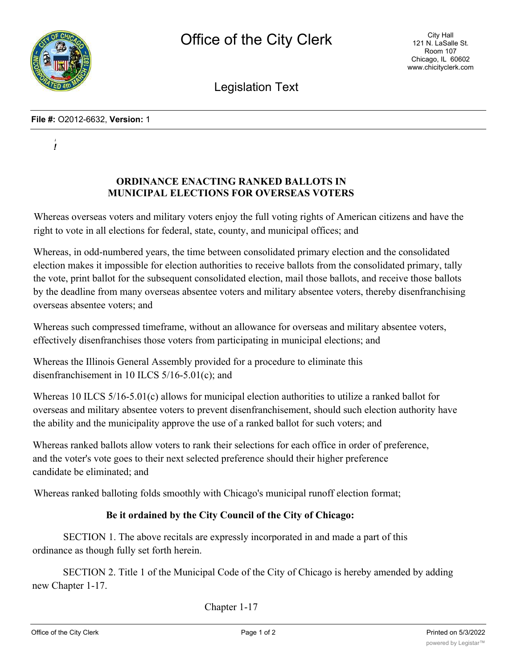

Legislation Text

## **File #:** O2012-6632, **Version:** 1

*i !*

## **ORDINANCE ENACTING RANKED BALLOTS IN MUNICIPAL ELECTIONS FOR OVERSEAS VOTERS**

Whereas overseas voters and military voters enjoy the full voting rights of American citizens and have the right to vote in all elections for federal, state, county, and municipal offices; and

Whereas, in odd-numbered years, the time between consolidated primary election and the consolidated election makes it impossible for election authorities to receive ballots from the consolidated primary, tally the vote, print ballot for the subsequent consolidated election, mail those ballots, and receive those ballots by the deadline from many overseas absentee voters and military absentee voters, thereby disenfranchising overseas absentee voters; and

Whereas such compressed timeframe, without an allowance for overseas and military absentee voters, effectively disenfranchises those voters from participating in municipal elections; and

Whereas the Illinois General Assembly provided for a procedure to eliminate this disenfranchisement in 10 ILCS 5/16-5.01(c); and

Whereas 10 ILCS 5/16-5.01(c) allows for municipal election authorities to utilize a ranked ballot for overseas and military absentee voters to prevent disenfranchisement, should such election authority have the ability and the municipality approve the use of a ranked ballot for such voters; and

Whereas ranked ballots allow voters to rank their selections for each office in order of preference, and the voter's vote goes to their next selected preference should their higher preference candidate be eliminated; and

Whereas ranked balloting folds smoothly with Chicago's municipal runoff election format;

## **Be it ordained by the City Council of the City of Chicago:**

SECTION 1. The above recitals are expressly incorporated in and made a part of this ordinance as though fully set forth herein.

SECTION 2. Title 1 of the Municipal Code of the City of Chicago is hereby amended by adding new Chapter 1-17.

Chapter 1-17